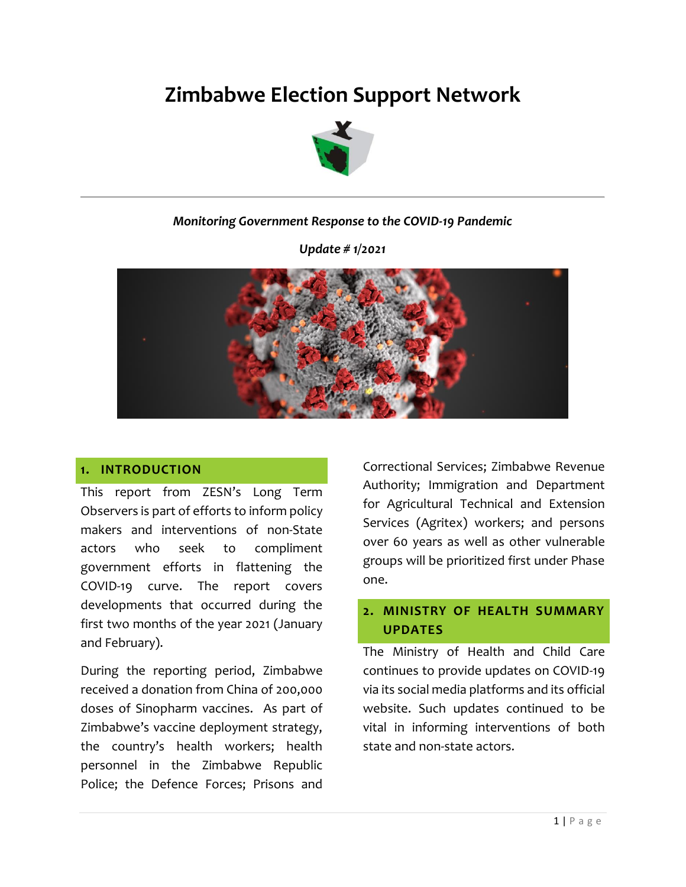# **Zimbabwe Election Support Network**



#### *Monitoring Government Response to the COVID-19 Pandemic*

*Update # 1/2021*



#### **1. INTRODUCTION**

This report from ZESN's Long Term Observers is part of efforts to inform policy makers and interventions of non-State actors who seek to compliment government efforts in flattening the COVID-19 curve. The report covers developments that occurred during the first two months of the year 2021 (January and February).

During the reporting period, Zimbabwe received a donation from China of 200,000 doses of Sinopharm vaccines. As part of Zimbabwe's vaccine deployment strategy, the country's health workers; health personnel in the Zimbabwe Republic Police; the Defence Forces; Prisons and

Correctional Services; Zimbabwe Revenue Authority; Immigration and Department for Agricultural Technical and Extension Services (Agritex) workers; and persons over 60 years as well as other vulnerable groups will be prioritized first under Phase one.

## **2. MINISTRY OF HEALTH SUMMARY UPDATES**

The Ministry of Health and Child Care continues to provide updates on COVID-19 via its social media platforms and its official website. Such updates continued to be vital in informing interventions of both state and non-state actors.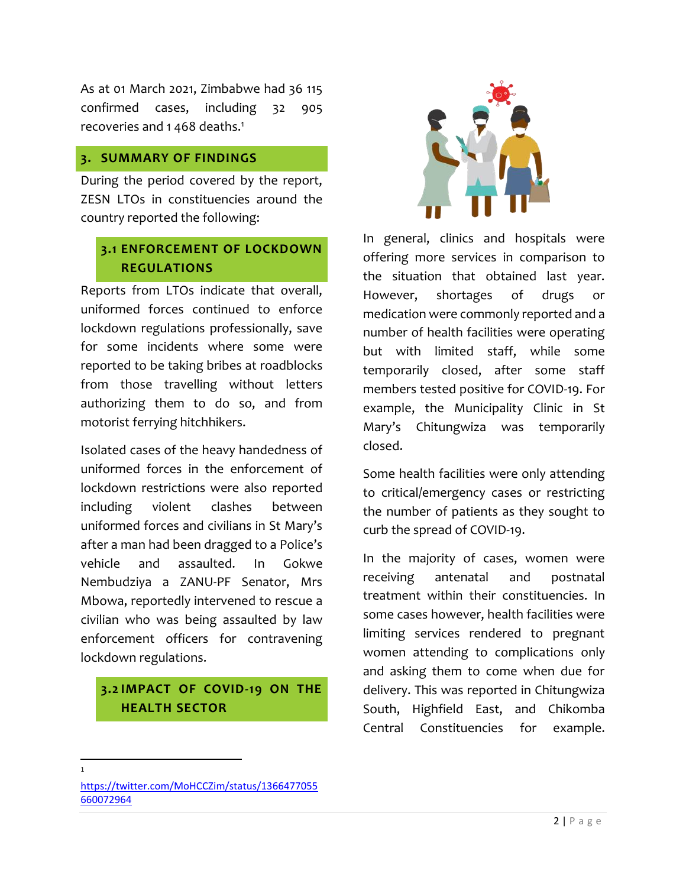As at 01 March 2021, Zimbabwe had 36 115 confirmed cases, including 32 905 recoveries and 1468 deaths.<sup>1</sup>

#### **3. SUMMARY OF FINDINGS**

During the period covered by the report, ZESN LTOs in constituencies around the country reported the following:

# **3.1 ENFORCEMENT OF LOCKDOWN REGULATIONS**

Reports from LTOs indicate that overall, uniformed forces continued to enforce lockdown regulations professionally, save for some incidents where some were reported to be taking bribes at roadblocks from those travelling without letters authorizing them to do so, and from motorist ferrying hitchhikers.

Isolated cases of the heavy handedness of uniformed forces in the enforcement of lockdown restrictions were also reported including violent clashes between uniformed forces and civilians in St Mary's after a man had been dragged to a Police's vehicle and assaulted. In Gokwe Nembudziya a ZANU-PF Senator, Mrs Mbowa, reportedly intervened to rescue a civilian who was being assaulted by law enforcement officers for contravening lockdown regulations.

# **3.2 IMPACT OF COVID-19 ON THE HEALTH SECTOR**



In general, clinics and hospitals were offering more services in comparison to the situation that obtained last year. However, shortages of drugs or medication were commonly reported and a number of health facilities were operating but with limited staff, while some temporarily closed, after some staff members tested positive for COVID-19. For example, the Municipality Clinic in St Mary's Chitungwiza was temporarily closed.

Some health facilities were only attending to critical/emergency cases or restricting the number of patients as they sought to curb the spread of COVID-19.

In the majority of cases, women were receiving antenatal and postnatal treatment within their constituencies. In some cases however, health facilities were limiting services rendered to pregnant women attending to complications only and asking them to come when due for delivery. This was reported in Chitungwiza South, Highfield East, and Chikomba Central Constituencies for example.

 $\overline{\phantom{a}}$ 1

[https://twitter.com/MoHCCZim/status/1366477055](https://twitter.com/MoHCCZim/status/1366477055660072964) [660072964](https://twitter.com/MoHCCZim/status/1366477055660072964)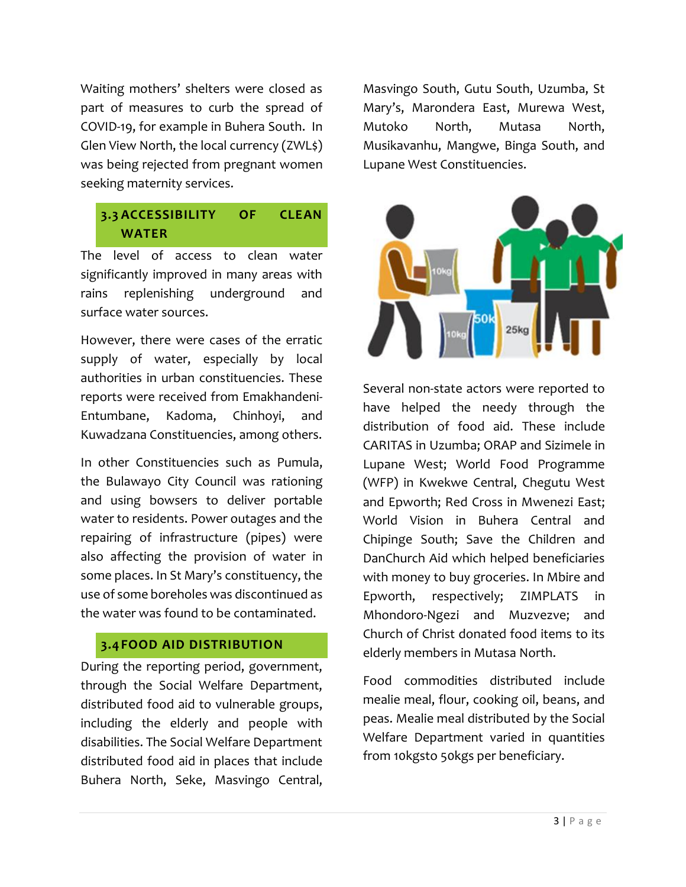Waiting mothers' shelters were closed as part of measures to curb the spread of COVID-19, for example in Buhera South. In Glen View North, the local currency (ZWL\$) was being rejected from pregnant women seeking maternity services.

# **3.3 ACCESSIBILITY OF CLEAN WATER**

The level of access to clean water significantly improved in many areas with rains replenishing underground and surface water sources.

However, there were cases of the erratic supply of water, especially by local authorities in urban constituencies. These reports were received from Emakhandeni-Entumbane, Kadoma, Chinhoyi, and Kuwadzana Constituencies, among others.

In other Constituencies such as Pumula, the Bulawayo City Council was rationing and using bowsers to deliver portable water to residents. Power outages and the repairing of infrastructure (pipes) were also affecting the provision of water in some places. In St Mary's constituency, the use of some boreholes was discontinued as the water was found to be contaminated.

## **3.4FOOD AID DISTRIBUTION**

During the reporting period, government, through the Social Welfare Department, distributed food aid to vulnerable groups, including the elderly and people with disabilities. The Social Welfare Department distributed food aid in places that include Buhera North, Seke, Masvingo Central,

Masvingo South, Gutu South, Uzumba, St Mary's, Marondera East, Murewa West, Mutoko North, Mutasa North, Musikavanhu, Mangwe, Binga South, and Lupane West Constituencies.



Several non-state actors were reported to have helped the needy through the distribution of food aid. These include CARITAS in Uzumba; ORAP and Sizimele in Lupane West; World Food Programme (WFP) in Kwekwe Central, Chegutu West and Epworth; Red Cross in Mwenezi East; World Vision in Buhera Central and Chipinge South; Save the Children and DanChurch Aid which helped beneficiaries with money to buy groceries. In Mbire and Epworth, respectively; ZIMPLATS in Mhondoro-Ngezi and Muzvezve; and Church of Christ donated food items to its elderly members in Mutasa North.

Food commodities distributed include mealie meal, flour, cooking oil, beans, and peas. Mealie meal distributed by the Social Welfare Department varied in quantities from 10kgsto 50kgs per beneficiary.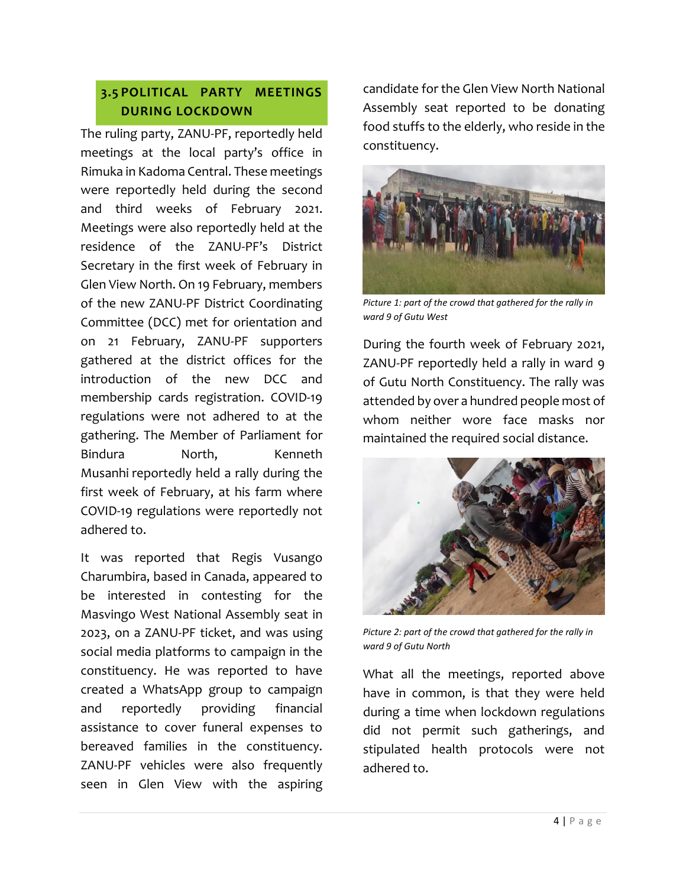# **3.5 POLITICAL PARTY MEETINGS DURING LOCKDOWN**

The ruling party, ZANU-PF, reportedly held meetings at the local party's office in Rimuka in Kadoma Central. These meetings were reportedly held during the second and third weeks of February 2021. Meetings were also reportedly held at the residence of the ZANU-PF's District Secretary in the first week of February in Glen View North. On 19 February, members of the new ZANU-PF District Coordinating Committee (DCC) met for orientation and on 21 February, ZANU-PF supporters gathered at the district offices for the introduction of the new DCC and membership cards registration. COVID-19 regulations were not adhered to at the gathering. The Member of Parliament for Bindura **North**, Kenneth Musanhi reportedly held a rally during the first week of February, at his farm where COVID-19 regulations were reportedly not adhered to.

It was reported that Regis Vusango Charumbira, based in Canada, appeared to be interested in contesting for the Masvingo West National Assembly seat in 2023, on a ZANU-PF ticket, and was using social media platforms to campaign in the constituency. He was reported to have created a WhatsApp group to campaign and reportedly providing financial assistance to cover funeral expenses to bereaved families in the constituency. ZANU-PF vehicles were also frequently seen in Glen View with the aspiring

candidate for the Glen View North National Assembly seat reported to be donating food stuffs to the elderly, who reside in the constituency.



*Picture 1: part of the crowd that gathered for the rally in ward 9 of Gutu West*

During the fourth week of February 2021, ZANU-PF reportedly held a rally in ward 9 of Gutu North Constituency. The rally was attended by over a hundred people most of whom neither wore face masks nor maintained the required social distance.



*Picture 2: part of the crowd that gathered for the rally in ward 9 of Gutu North*

What all the meetings, reported above have in common, is that they were held during a time when lockdown regulations did not permit such gatherings, and stipulated health protocols were not adhered to.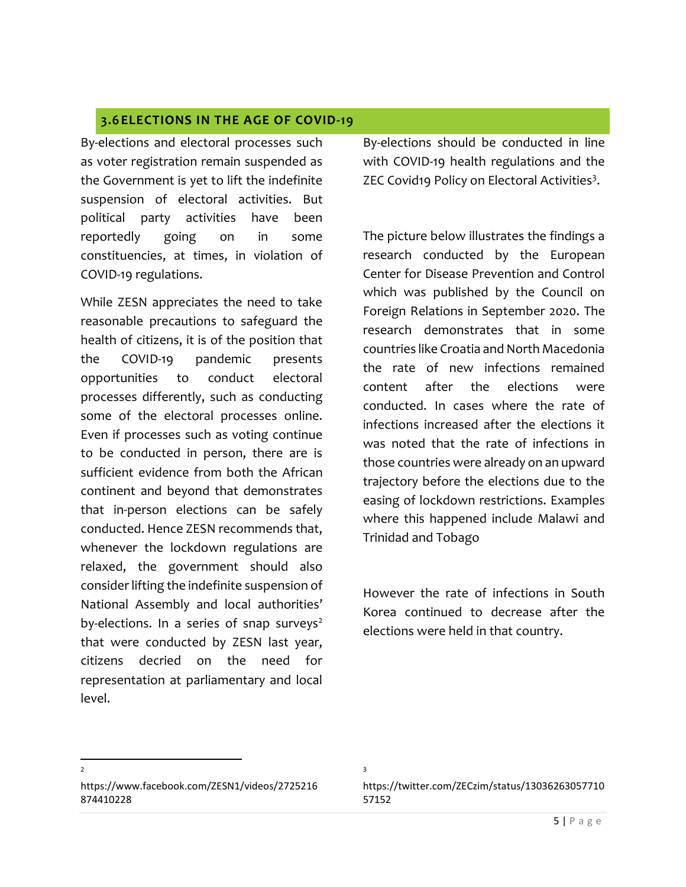#### **3.6 ELECTIONS IN THE AGE OF COVID-19**

By-elections and electoral processes such as voter registration remain suspended as the Government is yet to lift the indefinite suspension of electoral activities. But political party activities have been reportedly going on in some constituencies, at times, in violation of COVID-19 regulations.

While ZESN appreciates the need to take reasonable precautions to safeguard the health of citizens, it is of the position that the COVID-19 pandemic presents opportunities to conduct electoral processes differently, such as conducting some of the electoral processes online. Even if processes such as voting continue to be conducted in person, there are is sufficient evidence from both the African continent and beyond that demonstrates that in-person elections can be safely conducted. Hence ZESN recommends that, whenever the lockdown regulations are relaxed, the government should also consider lifting the indefinite suspension of National Assembly and local authorities' by-elections. In a series of snap surveys $2$ that were conducted by ZESN last year, citizens decried on the need for representation at parliamentary and local level.

By-elections should be conducted in line with COVID-19 health regulations and the ZEC Covid19 Policy on Electoral Activities<sup>3</sup>.

The picture below illustrates the findings a research conducted by the European Center for Disease Prevention and Control which was published by the Council on Foreign Relations in September 2020. The research demonstrates that in some countries like Croatia and North Macedonia the rate of new infections remained content after the elections were conducted. In cases where the rate of infections increased after the elections it was noted that the rate of infections in those countries were already on an upward trajectory before the elections due to the easing of lockdown restrictions. Examples where this happened include Malawi and Trinidad and Tobago

However the rate of infections in South Korea continued to decrease after the elections were held in that country.

https://www.facebook.com/ZESN1/videos/2725216 874410228

 $\overline{\phantom{a}}$ 2

https://twitter.com/ZECzim/status/13036263057710 57152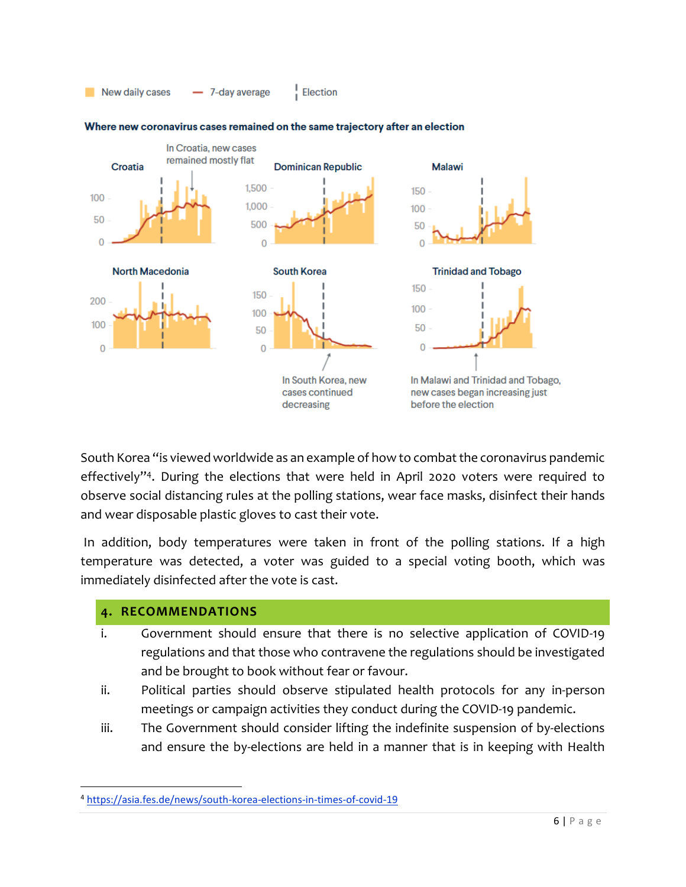



#### Where new coronavirus cases remained on the same trajectory after an election

South Korea "is viewed worldwide as an example of how to combat the coronavirus pandemic effectively" 4 . During the elections that were held in April 2020 voters were required to observe social distancing rules at the polling stations, wear face masks, disinfect their hands and wear disposable plastic gloves to cast their vote.

In addition, body temperatures were taken in front of the polling stations. If a high temperature was detected, a voter was guided to a special voting booth, which was immediately disinfected after the vote is cast.

#### **4. RECOMMENDATIONS**

 $\overline{\phantom{a}}$ 

- i. Government should ensure that there is no selective application of COVID-19 regulations and that those who contravene the regulations should be investigated and be brought to book without fear or favour.
- ii. Political parties should observe stipulated health protocols for any in-person meetings or campaign activities they conduct during the COVID-19 pandemic.
- iii. The Government should consider lifting the indefinite suspension of by-elections and ensure the by-elections are held in a manner that is in keeping with Health

<sup>4</sup> <https://asia.fes.de/news/south-korea-elections-in-times-of-covid-19>